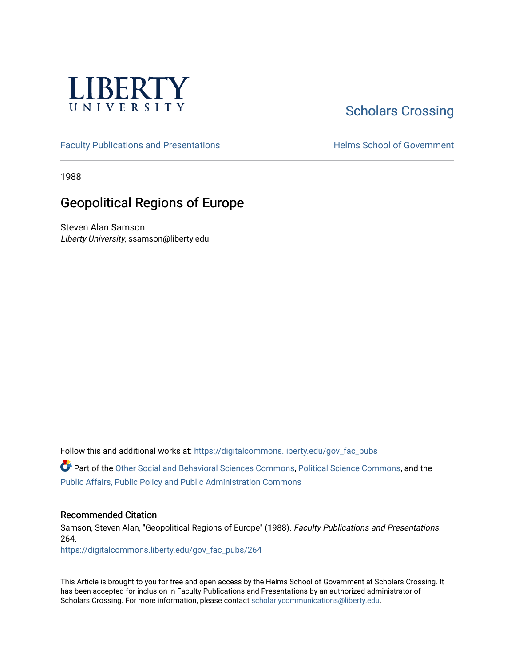

## [Scholars Crossing](https://digitalcommons.liberty.edu/)

[Faculty Publications and Presentations](https://digitalcommons.liberty.edu/gov_fac_pubs) **Exercise School of Government** 

1988

## Geopolitical Regions of Europe

Steven Alan Samson Liberty University, ssamson@liberty.edu

Follow this and additional works at: [https://digitalcommons.liberty.edu/gov\\_fac\\_pubs](https://digitalcommons.liberty.edu/gov_fac_pubs?utm_source=digitalcommons.liberty.edu%2Fgov_fac_pubs%2F264&utm_medium=PDF&utm_campaign=PDFCoverPages)

Part of the [Other Social and Behavioral Sciences Commons](http://network.bepress.com/hgg/discipline/437?utm_source=digitalcommons.liberty.edu%2Fgov_fac_pubs%2F264&utm_medium=PDF&utm_campaign=PDFCoverPages), [Political Science Commons](http://network.bepress.com/hgg/discipline/386?utm_source=digitalcommons.liberty.edu%2Fgov_fac_pubs%2F264&utm_medium=PDF&utm_campaign=PDFCoverPages), and the [Public Affairs, Public Policy and Public Administration Commons](http://network.bepress.com/hgg/discipline/393?utm_source=digitalcommons.liberty.edu%2Fgov_fac_pubs%2F264&utm_medium=PDF&utm_campaign=PDFCoverPages)

## Recommended Citation

Samson, Steven Alan, "Geopolitical Regions of Europe" (1988). Faculty Publications and Presentations. 264.

[https://digitalcommons.liberty.edu/gov\\_fac\\_pubs/264](https://digitalcommons.liberty.edu/gov_fac_pubs/264?utm_source=digitalcommons.liberty.edu%2Fgov_fac_pubs%2F264&utm_medium=PDF&utm_campaign=PDFCoverPages)

This Article is brought to you for free and open access by the Helms School of Government at Scholars Crossing. It has been accepted for inclusion in Faculty Publications and Presentations by an authorized administrator of Scholars Crossing. For more information, please contact [scholarlycommunications@liberty.edu.](mailto:scholarlycommunications@liberty.edu)